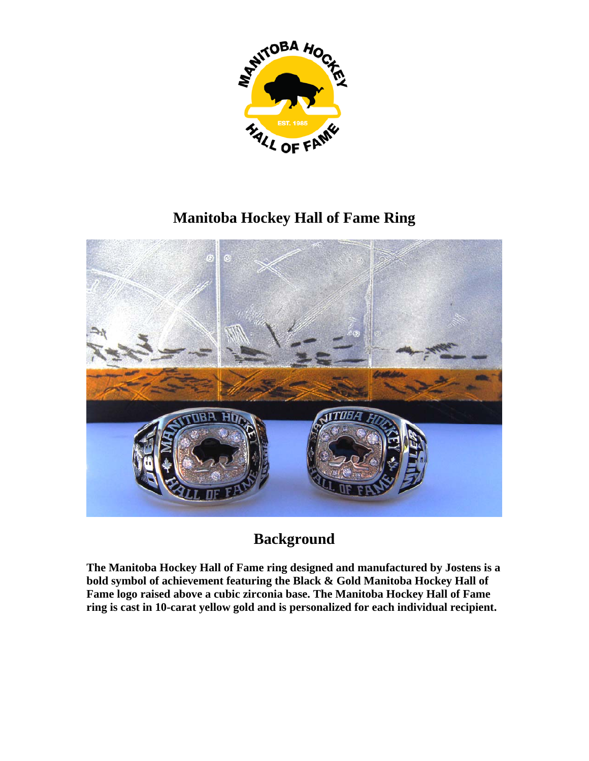

## **Manitoba Hockey Hall of Fame Ring**



## **Background**

**The Manitoba Hockey Hall of Fame ring designed and manufactured by Jostens is a bold symbol of achievement featuring the Black & Gold Manitoba Hockey Hall of Fame logo raised above a cubic zirconia base. The Manitoba Hockey Hall of Fame ring is cast in 10-carat yellow gold and is personalized for each individual recipient.**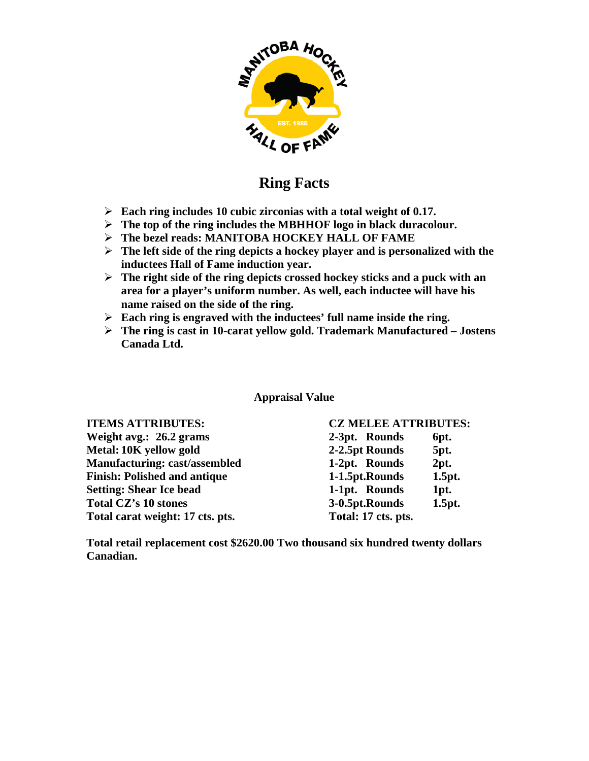

## **Ring Facts**

- ¾ **Each ring includes 10 cubic zirconias with a total weight of 0.17.**
- ¾ **The top of the ring includes the MBHHOF logo in black duracolour.**
- ¾ **The bezel reads: MANITOBA HOCKEY HALL OF FAME**
- ¾ **The left side of the ring depicts a hockey player and is personalized with the inductees Hall of Fame induction year.**
- ¾ **The right side of the ring depicts crossed hockey sticks and a puck with an area for a player's uniform number. As well, each inductee will have his name raised on the side of the ring.**
- ¾ **Each ring is engraved with the inductees' full name inside the ring.**
- ¾ **The ring is cast in 10-carat yellow gold. Trademark Manufactured Jostens Canada Ltd.**

**Appraisal Value** 

| <b>ITEMS ATTRIBUTES:</b>             | <b>CZ MELEE ATTRIBUTES:</b> |        |
|--------------------------------------|-----------------------------|--------|
| Weight avg.: 26.2 grams              | 2-3pt. Rounds               | 6pt.   |
| Metal: 10K yellow gold               | 2-2.5pt Rounds              | 5pt.   |
| <b>Manufacturing: cast/assembled</b> | 1-2pt. Rounds               | 2pt.   |
| <b>Finish: Polished and antique</b>  | 1-1.5pt.Rounds              | 1.5pt. |
| <b>Setting: Shear Ice bead</b>       | 1-1pt. Rounds               | 1pt.   |
| <b>Total CZ's 10 stones</b>          | 3-0.5pt.Rounds              | 1.5pt. |
| Total carat weight: 17 cts. pts.     | Total: 17 cts. pts.         |        |

**Total retail replacement cost \$2620.00 Two thousand six hundred twenty dollars Canadian.**